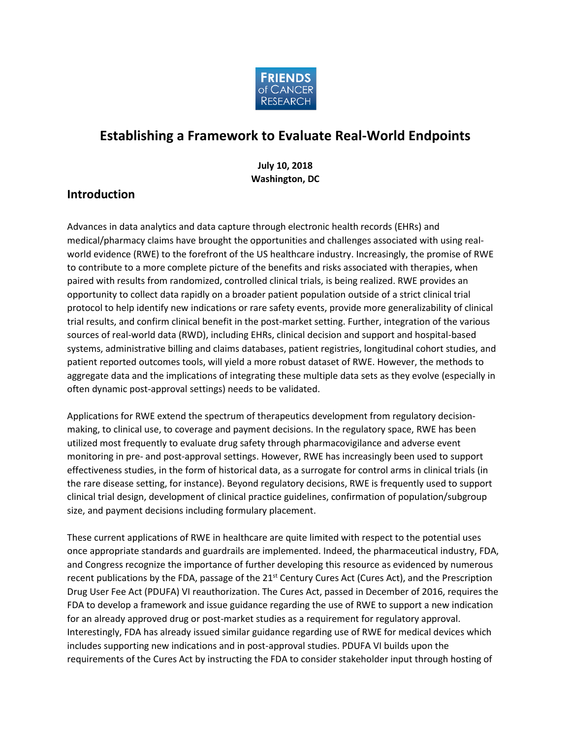

# **Establishing a Framework to Evaluate Real-World Endpoints**

**July 10, 2018 Washington, DC**

## **Introduction**

Advances in data analytics and data capture through electronic health records (EHRs) and medical/pharmacy claims have brought the opportunities and challenges associated with using realworld evidence (RWE) to the forefront of the US healthcare industry. Increasingly, the promise of RWE to contribute to a more complete picture of the benefits and risks associated with therapies, when paired with results from randomized, controlled clinical trials, is being realized. RWE provides an opportunity to collect data rapidly on a broader patient population outside of a strict clinical trial protocol to help identify new indications or rare safety events, provide more generalizability of clinical trial results, and confirm clinical benefit in the post-market setting. Further, integration of the various sources of real-world data (RWD), including EHRs, clinical decision and support and hospital-based systems, administrative billing and claims databases, patient registries, longitudinal cohort studies, and patient reported outcomes tools, will yield a more robust dataset of RWE. However, the methods to aggregate data and the implications of integrating these multiple data sets as they evolve (especially in often dynamic post-approval settings) needs to be validated.

Applications for RWE extend the spectrum of therapeutics development from regulatory decisionmaking, to clinical use, to coverage and payment decisions. In the regulatory space, RWE has been utilized most frequently to evaluate drug safety through pharmacovigilance and adverse event monitoring in pre- and post-approval settings. However, RWE has increasingly been used to support effectiveness studies, in the form of historical data, as a surrogate for control arms in clinical trials (in the rare disease setting, for instance). Beyond regulatory decisions, RWE is frequently used to support clinical trial design, development of clinical practice guidelines, confirmation of population/subgroup size, and payment decisions including formulary placement.

These current applications of RWE in healthcare are quite limited with respect to the potential uses once appropriate standards and guardrails are implemented. Indeed, the pharmaceutical industry, FDA, and Congress recognize the importance of further developing this resource as evidenced by numerous recent publications by the FDA, passage of the 21<sup>st</sup> Century Cures Act (Cures Act), and the Prescription Drug User Fee Act (PDUFA) VI reauthorization. The Cures Act, passed in December of 2016, requires the FDA to develop a framework and issue guidance regarding the use of RWE to support a new indication for an already approved drug or post-market studies as a requirement for regulatory approval. Interestingly, FDA has already issued similar guidance regarding use of RWE for medical devices which includes supporting new indications and in post-approval studies. PDUFA VI builds upon the requirements of the Cures Act by instructing the FDA to consider stakeholder input through hosting of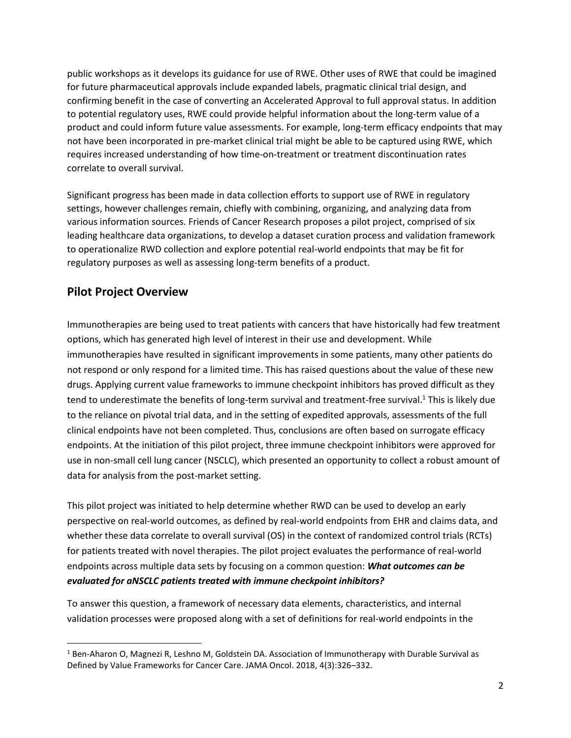public workshops as it develops its guidance for use of RWE. Other uses of RWE that could be imagined for future pharmaceutical approvals include expanded labels, pragmatic clinical trial design, and confirming benefit in the case of converting an Accelerated Approval to full approval status. In addition to potential regulatory uses, RWE could provide helpful information about the long-term value of a product and could inform future value assessments. For example, long-term efficacy endpoints that may not have been incorporated in pre-market clinical trial might be able to be captured using RWE, which requires increased understanding of how time-on-treatment or treatment discontinuation rates correlate to overall survival.

Significant progress has been made in data collection efforts to support use of RWE in regulatory settings, however challenges remain, chiefly with combining, organizing, and analyzing data from various information sources. Friends of Cancer Research proposes a pilot project, comprised of six leading healthcare data organizations, to develop a dataset curation process and validation framework to operationalize RWD collection and explore potential real-world endpoints that may be fit for regulatory purposes as well as assessing long-term benefits of a product.

## **Pilot Project Overview**

 $\overline{\phantom{a}}$ 

Immunotherapies are being used to treat patients with cancers that have historically had few treatment options, which has generated high level of interest in their use and development. While immunotherapies have resulted in significant improvements in some patients, many other patients do not respond or only respond for a limited time. This has raised questions about the value of these new drugs. Applying current value frameworks to immune checkpoint inhibitors has proved difficult as they tend to underestimate the benefits of long-term survival and treatment-free survival.<sup>1</sup> This is likely due to the reliance on pivotal trial data, and in the setting of expedited approvals, assessments of the full clinical endpoints have not been completed. Thus, conclusions are often based on surrogate efficacy endpoints. At the initiation of this pilot project, three immune checkpoint inhibitors were approved for use in non-small cell lung cancer (NSCLC), which presented an opportunity to collect a robust amount of data for analysis from the post-market setting.

This pilot project was initiated to help determine whether RWD can be used to develop an early perspective on real-world outcomes, as defined by real-world endpoints from EHR and claims data, and whether these data correlate to overall survival (OS) in the context of randomized control trials (RCTs) for patients treated with novel therapies. The pilot project evaluates the performance of real-world endpoints across multiple data sets by focusing on a common question: *What outcomes can be evaluated for aNSCLC patients treated with immune checkpoint inhibitors?*

To answer this question, a framework of necessary data elements, characteristics, and internal validation processes were proposed along with a set of definitions for real-world endpoints in the

 $1$  Ben-Aharon O, Magnezi R, Leshno M, Goldstein DA. Association of Immunotherapy with Durable Survival as Defined by Value Frameworks for Cancer Care. JAMA Oncol. 2018, 4(3):326–332.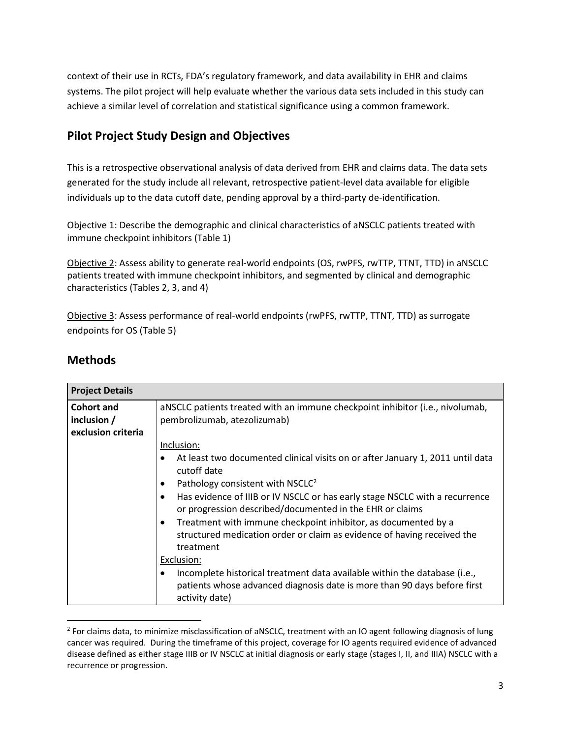context of their use in RCTs, FDA's regulatory framework, and data availability in EHR and claims systems. The pilot project will help evaluate whether the various data sets included in this study can achieve a similar level of correlation and statistical significance using a common framework.

## **Pilot Project Study Design and Objectives**

This is a retrospective observational analysis of data derived from EHR and claims data. The data sets generated for the study include all relevant, retrospective patient-level data available for eligible individuals up to the data cutoff date, pending approval by a third-party de-identification.

Objective 1: Describe the demographic and clinical characteristics of aNSCLC patients treated with immune checkpoint inhibitors (Table 1)

Objective 2: Assess ability to generate real-world endpoints (OS, rwPFS, rwTTP, TTNT, TTD) in aNSCLC patients treated with immune checkpoint inhibitors, and segmented by clinical and demographic characteristics (Tables 2, 3, and 4)

Objective 3: Assess performance of real-world endpoints (rwPFS, rwTTP, TTNT, TTD) as surrogate endpoints for OS (Table 5)

| <b>Project Details</b> |                                                                                                                                                                         |  |  |  |  |  |  |  |  |  |
|------------------------|-------------------------------------------------------------------------------------------------------------------------------------------------------------------------|--|--|--|--|--|--|--|--|--|
| <b>Cohort and</b>      | aNSCLC patients treated with an immune checkpoint inhibitor (i.e., nivolumab,                                                                                           |  |  |  |  |  |  |  |  |  |
| inclusion $/$          | pembrolizumab, atezolizumab)                                                                                                                                            |  |  |  |  |  |  |  |  |  |
| exclusion criteria     |                                                                                                                                                                         |  |  |  |  |  |  |  |  |  |
|                        | Inclusion:                                                                                                                                                              |  |  |  |  |  |  |  |  |  |
|                        | At least two documented clinical visits on or after January 1, 2011 until data<br>$\bullet$<br>cutoff date                                                              |  |  |  |  |  |  |  |  |  |
|                        | Pathology consistent with NSCLC <sup>2</sup><br>٠                                                                                                                       |  |  |  |  |  |  |  |  |  |
|                        | Has evidence of IIIB or IV NSCLC or has early stage NSCLC with a recurrence<br>٠<br>or progression described/documented in the EHR or claims                            |  |  |  |  |  |  |  |  |  |
|                        | Treatment with immune checkpoint inhibitor, as documented by a<br>٠<br>structured medication order or claim as evidence of having received the<br>treatment             |  |  |  |  |  |  |  |  |  |
|                        | Exclusion:                                                                                                                                                              |  |  |  |  |  |  |  |  |  |
|                        | Incomplete historical treatment data available within the database (i.e.,<br>patients whose advanced diagnosis date is more than 90 days before first<br>activity date) |  |  |  |  |  |  |  |  |  |

## **Methods**

l

 $^2$  For claims data, to minimize misclassification of aNSCLC, treatment with an IO agent following diagnosis of lung cancer was required. During the timeframe of this project, coverage for IO agents required evidence of advanced disease defined as either stage IIIB or IV NSCLC at initial diagnosis or early stage (stages I, II, and IIIA) NSCLC with a recurrence or progression.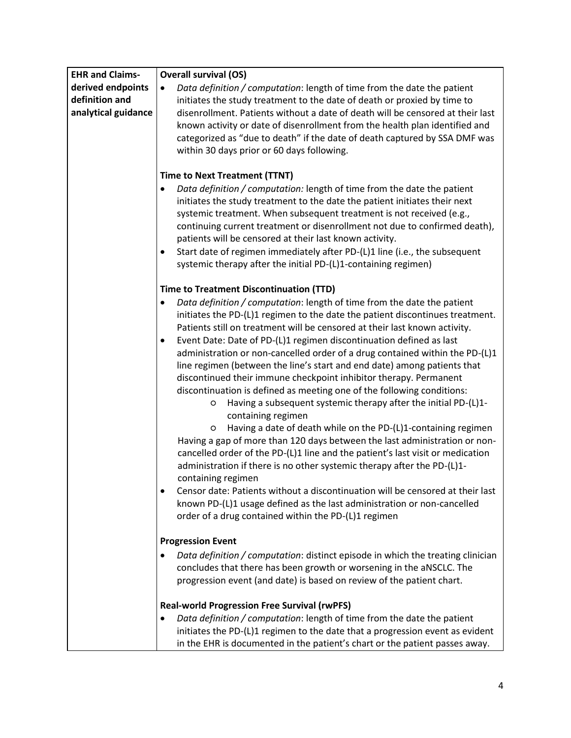| <b>EHR and Claims-</b> | <b>Overall survival (OS)</b>                                                                                                                                                                                                                                                                                                                                                                                                                                                                                                                                                                                                                                                                                                                                                                                                                                                                                                                                                                      |
|------------------------|---------------------------------------------------------------------------------------------------------------------------------------------------------------------------------------------------------------------------------------------------------------------------------------------------------------------------------------------------------------------------------------------------------------------------------------------------------------------------------------------------------------------------------------------------------------------------------------------------------------------------------------------------------------------------------------------------------------------------------------------------------------------------------------------------------------------------------------------------------------------------------------------------------------------------------------------------------------------------------------------------|
| derived endpoints      | Data definition / computation: length of time from the date the patient<br>$\bullet$                                                                                                                                                                                                                                                                                                                                                                                                                                                                                                                                                                                                                                                                                                                                                                                                                                                                                                              |
| definition and         | initiates the study treatment to the date of death or proxied by time to                                                                                                                                                                                                                                                                                                                                                                                                                                                                                                                                                                                                                                                                                                                                                                                                                                                                                                                          |
| analytical guidance    | disenrollment. Patients without a date of death will be censored at their last                                                                                                                                                                                                                                                                                                                                                                                                                                                                                                                                                                                                                                                                                                                                                                                                                                                                                                                    |
|                        | known activity or date of disenrollment from the health plan identified and                                                                                                                                                                                                                                                                                                                                                                                                                                                                                                                                                                                                                                                                                                                                                                                                                                                                                                                       |
|                        | categorized as "due to death" if the date of death captured by SSA DMF was                                                                                                                                                                                                                                                                                                                                                                                                                                                                                                                                                                                                                                                                                                                                                                                                                                                                                                                        |
|                        | within 30 days prior or 60 days following.                                                                                                                                                                                                                                                                                                                                                                                                                                                                                                                                                                                                                                                                                                                                                                                                                                                                                                                                                        |
|                        |                                                                                                                                                                                                                                                                                                                                                                                                                                                                                                                                                                                                                                                                                                                                                                                                                                                                                                                                                                                                   |
|                        | <b>Time to Next Treatment (TTNT)</b>                                                                                                                                                                                                                                                                                                                                                                                                                                                                                                                                                                                                                                                                                                                                                                                                                                                                                                                                                              |
|                        | Data definition / computation: length of time from the date the patient<br>$\bullet$<br>initiates the study treatment to the date the patient initiates their next                                                                                                                                                                                                                                                                                                                                                                                                                                                                                                                                                                                                                                                                                                                                                                                                                                |
|                        |                                                                                                                                                                                                                                                                                                                                                                                                                                                                                                                                                                                                                                                                                                                                                                                                                                                                                                                                                                                                   |
|                        | systemic treatment. When subsequent treatment is not received (e.g.,<br>continuing current treatment or disenrollment not due to confirmed death),                                                                                                                                                                                                                                                                                                                                                                                                                                                                                                                                                                                                                                                                                                                                                                                                                                                |
|                        | patients will be censored at their last known activity.                                                                                                                                                                                                                                                                                                                                                                                                                                                                                                                                                                                                                                                                                                                                                                                                                                                                                                                                           |
|                        | Start date of regimen immediately after PD-(L)1 line (i.e., the subsequent<br>٠                                                                                                                                                                                                                                                                                                                                                                                                                                                                                                                                                                                                                                                                                                                                                                                                                                                                                                                   |
|                        | systemic therapy after the initial PD-(L)1-containing regimen)                                                                                                                                                                                                                                                                                                                                                                                                                                                                                                                                                                                                                                                                                                                                                                                                                                                                                                                                    |
|                        |                                                                                                                                                                                                                                                                                                                                                                                                                                                                                                                                                                                                                                                                                                                                                                                                                                                                                                                                                                                                   |
|                        | <b>Time to Treatment Discontinuation (TTD)</b>                                                                                                                                                                                                                                                                                                                                                                                                                                                                                                                                                                                                                                                                                                                                                                                                                                                                                                                                                    |
|                        | Data definition / computation: length of time from the date the patient<br>$\bullet$                                                                                                                                                                                                                                                                                                                                                                                                                                                                                                                                                                                                                                                                                                                                                                                                                                                                                                              |
|                        | initiates the PD-(L)1 regimen to the date the patient discontinues treatment.                                                                                                                                                                                                                                                                                                                                                                                                                                                                                                                                                                                                                                                                                                                                                                                                                                                                                                                     |
|                        | Patients still on treatment will be censored at their last known activity.                                                                                                                                                                                                                                                                                                                                                                                                                                                                                                                                                                                                                                                                                                                                                                                                                                                                                                                        |
|                        | Event Date: Date of PD-(L)1 regimen discontinuation defined as last<br>$\bullet$                                                                                                                                                                                                                                                                                                                                                                                                                                                                                                                                                                                                                                                                                                                                                                                                                                                                                                                  |
|                        | administration or non-cancelled order of a drug contained within the PD-(L)1                                                                                                                                                                                                                                                                                                                                                                                                                                                                                                                                                                                                                                                                                                                                                                                                                                                                                                                      |
|                        | line regimen (between the line's start and end date) among patients that                                                                                                                                                                                                                                                                                                                                                                                                                                                                                                                                                                                                                                                                                                                                                                                                                                                                                                                          |
|                        | discontinued their immune checkpoint inhibitor therapy. Permanent                                                                                                                                                                                                                                                                                                                                                                                                                                                                                                                                                                                                                                                                                                                                                                                                                                                                                                                                 |
|                        |                                                                                                                                                                                                                                                                                                                                                                                                                                                                                                                                                                                                                                                                                                                                                                                                                                                                                                                                                                                                   |
|                        |                                                                                                                                                                                                                                                                                                                                                                                                                                                                                                                                                                                                                                                                                                                                                                                                                                                                                                                                                                                                   |
|                        |                                                                                                                                                                                                                                                                                                                                                                                                                                                                                                                                                                                                                                                                                                                                                                                                                                                                                                                                                                                                   |
|                        |                                                                                                                                                                                                                                                                                                                                                                                                                                                                                                                                                                                                                                                                                                                                                                                                                                                                                                                                                                                                   |
|                        |                                                                                                                                                                                                                                                                                                                                                                                                                                                                                                                                                                                                                                                                                                                                                                                                                                                                                                                                                                                                   |
|                        |                                                                                                                                                                                                                                                                                                                                                                                                                                                                                                                                                                                                                                                                                                                                                                                                                                                                                                                                                                                                   |
|                        | containing regimen                                                                                                                                                                                                                                                                                                                                                                                                                                                                                                                                                                                                                                                                                                                                                                                                                                                                                                                                                                                |
|                        | Censor date: Patients without a discontinuation will be censored at their last                                                                                                                                                                                                                                                                                                                                                                                                                                                                                                                                                                                                                                                                                                                                                                                                                                                                                                                    |
|                        | known PD-(L)1 usage defined as the last administration or non-cancelled                                                                                                                                                                                                                                                                                                                                                                                                                                                                                                                                                                                                                                                                                                                                                                                                                                                                                                                           |
|                        | order of a drug contained within the PD-(L)1 regimen                                                                                                                                                                                                                                                                                                                                                                                                                                                                                                                                                                                                                                                                                                                                                                                                                                                                                                                                              |
|                        |                                                                                                                                                                                                                                                                                                                                                                                                                                                                                                                                                                                                                                                                                                                                                                                                                                                                                                                                                                                                   |
|                        |                                                                                                                                                                                                                                                                                                                                                                                                                                                                                                                                                                                                                                                                                                                                                                                                                                                                                                                                                                                                   |
|                        |                                                                                                                                                                                                                                                                                                                                                                                                                                                                                                                                                                                                                                                                                                                                                                                                                                                                                                                                                                                                   |
|                        | progression event (and date) is based on review of the patient chart.                                                                                                                                                                                                                                                                                                                                                                                                                                                                                                                                                                                                                                                                                                                                                                                                                                                                                                                             |
|                        |                                                                                                                                                                                                                                                                                                                                                                                                                                                                                                                                                                                                                                                                                                                                                                                                                                                                                                                                                                                                   |
|                        |                                                                                                                                                                                                                                                                                                                                                                                                                                                                                                                                                                                                                                                                                                                                                                                                                                                                                                                                                                                                   |
|                        |                                                                                                                                                                                                                                                                                                                                                                                                                                                                                                                                                                                                                                                                                                                                                                                                                                                                                                                                                                                                   |
|                        |                                                                                                                                                                                                                                                                                                                                                                                                                                                                                                                                                                                                                                                                                                                                                                                                                                                                                                                                                                                                   |
|                        | discontinuation is defined as meeting one of the following conditions:<br>Having a subsequent systemic therapy after the initial PD-(L)1-<br>O<br>containing regimen<br>Having a date of death while on the PD-(L)1-containing regimen<br>O<br>Having a gap of more than 120 days between the last administration or non-<br>cancelled order of the PD-(L)1 line and the patient's last visit or medication<br>administration if there is no other systemic therapy after the PD-(L)1-<br><b>Progression Event</b><br>Data definition / computation: distinct episode in which the treating clinician<br>٠<br>concludes that there has been growth or worsening in the aNSCLC. The<br><b>Real-world Progression Free Survival (rwPFS)</b><br>Data definition / computation: length of time from the date the patient<br>$\bullet$<br>initiates the PD-(L)1 regimen to the date that a progression event as evident<br>in the EHR is documented in the patient's chart or the patient passes away. |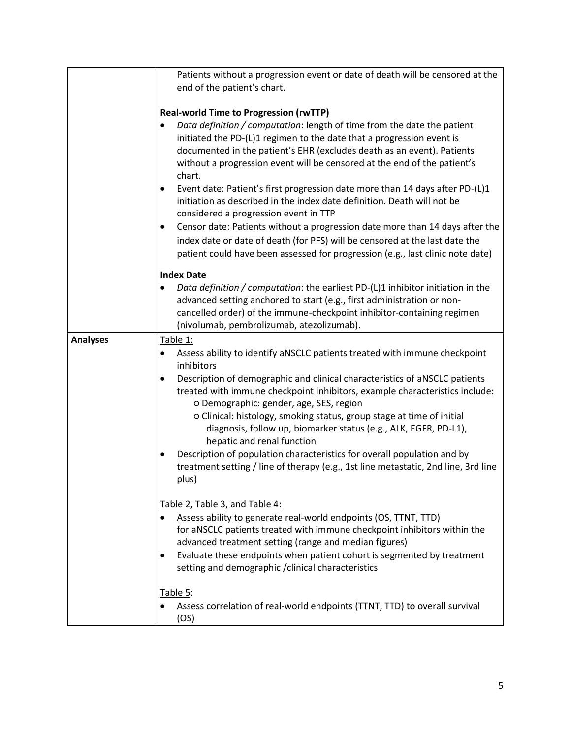|                 | Patients without a progression event or date of death will be censored at the<br>end of the patient's chart.<br><b>Real-world Time to Progression (rwTTP)</b><br>Data definition / computation: length of time from the date the patient                                                                                                                                                                                                                                                                                                                                                                                                                                                        |
|-----------------|-------------------------------------------------------------------------------------------------------------------------------------------------------------------------------------------------------------------------------------------------------------------------------------------------------------------------------------------------------------------------------------------------------------------------------------------------------------------------------------------------------------------------------------------------------------------------------------------------------------------------------------------------------------------------------------------------|
|                 | initiated the PD-(L)1 regimen to the date that a progression event is<br>documented in the patient's EHR (excludes death as an event). Patients<br>without a progression event will be censored at the end of the patient's<br>chart.<br>Event date: Patient's first progression date more than 14 days after PD-(L)1<br>initiation as described in the index date definition. Death will not be<br>considered a progression event in TTP<br>Censor date: Patients without a progression date more than 14 days after the<br>٠<br>index date or date of death (for PFS) will be censored at the last date the<br>patient could have been assessed for progression (e.g., last clinic note date) |
|                 | <b>Index Date</b>                                                                                                                                                                                                                                                                                                                                                                                                                                                                                                                                                                                                                                                                               |
|                 | Data definition / computation: the earliest PD-(L)1 inhibitor initiation in the<br>advanced setting anchored to start (e.g., first administration or non-<br>cancelled order) of the immune-checkpoint inhibitor-containing regimen<br>(nivolumab, pembrolizumab, atezolizumab).                                                                                                                                                                                                                                                                                                                                                                                                                |
| <b>Analyses</b> | Table 1:                                                                                                                                                                                                                                                                                                                                                                                                                                                                                                                                                                                                                                                                                        |
|                 | Assess ability to identify aNSCLC patients treated with immune checkpoint<br>٠<br>inhibitors                                                                                                                                                                                                                                                                                                                                                                                                                                                                                                                                                                                                    |
|                 | Description of demographic and clinical characteristics of aNSCLC patients<br>treated with immune checkpoint inhibitors, example characteristics include:<br>o Demographic: gender, age, SES, region<br>o Clinical: histology, smoking status, group stage at time of initial<br>diagnosis, follow up, biomarker status (e.g., ALK, EGFR, PD-L1),<br>hepatic and renal function<br>Description of population characteristics for overall population and by<br>treatment setting / line of therapy (e.g., 1st line metastatic, 2nd line, 3rd line<br>plus)                                                                                                                                       |
|                 | Table 2, Table 3, and Table 4:                                                                                                                                                                                                                                                                                                                                                                                                                                                                                                                                                                                                                                                                  |
|                 | Assess ability to generate real-world endpoints (OS, TTNT, TTD)<br>for aNSCLC patients treated with immune checkpoint inhibitors within the<br>advanced treatment setting (range and median figures)<br>Evaluate these endpoints when patient cohort is segmented by treatment<br>setting and demographic / clinical characteristics                                                                                                                                                                                                                                                                                                                                                            |
|                 | Table 5:<br>Assess correlation of real-world endpoints (TTNT, TTD) to overall survival<br>(OS)                                                                                                                                                                                                                                                                                                                                                                                                                                                                                                                                                                                                  |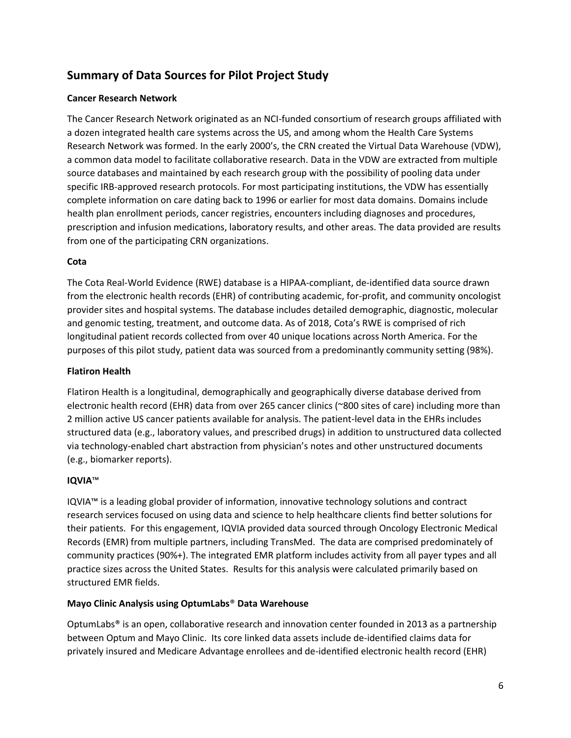## **Summary of Data Sources for Pilot Project Study**

### **Cancer Research Network**

The Cancer Research Network originated as an NCI-funded consortium of research groups affiliated with a dozen integrated health care systems across the US, and among whom the Health Care Systems Research Network was formed. In the early 2000's, the CRN created the Virtual Data Warehouse (VDW), a common data model to facilitate collaborative research. Data in the VDW are extracted from multiple source databases and maintained by each research group with the possibility of pooling data under specific IRB-approved research protocols. For most participating institutions, the VDW has essentially complete information on care dating back to 1996 or earlier for most data domains. Domains include health plan enrollment periods, cancer registries, encounters including diagnoses and procedures, prescription and infusion medications, laboratory results, and other areas. The data provided are results from one of the participating CRN organizations.

#### **Cota**

The Cota Real-World Evidence (RWE) database is a HIPAA-compliant, de-identified data source drawn from the electronic health records (EHR) of contributing academic, for-profit, and community oncologist provider sites and hospital systems. The database includes detailed demographic, diagnostic, molecular and genomic testing, treatment, and outcome data. As of 2018, Cota's RWE is comprised of rich longitudinal patient records collected from over 40 unique locations across North America. For the purposes of this pilot study, patient data was sourced from a predominantly community setting (98%).

### **Flatiron Health**

Flatiron Health is a longitudinal, demographically and geographically diverse database derived from electronic health record (EHR) data from over 265 cancer clinics (~800 sites of care) including more than 2 million active US cancer patients available for analysis. The patient-level data in the EHRs includes structured data (e.g., laboratory values, and prescribed drugs) in addition to unstructured data collected via technology-enabled chart abstraction from physician's notes and other unstructured documents (e.g., biomarker reports).

#### **IQVIA**™

IQVIA™ is a leading global provider of information, innovative technology solutions and contract research services focused on using data and science to help healthcare clients find better solutions for their patients. For this engagement, IQVIA provided data sourced through Oncology Electronic Medical Records (EMR) from multiple partners, including TransMed. The data are comprised predominately of community practices (90%+). The integrated EMR platform includes activity from all payer types and all practice sizes across the United States. Results for this analysis were calculated primarily based on structured EMR fields.

#### **Mayo Clinic Analysis using OptumLabs**® **Data Warehouse**

OptumLabs® is an open, collaborative research and innovation center founded in 2013 as a partnership between Optum and Mayo Clinic. Its core linked data assets include de-identified claims data for privately insured and Medicare Advantage enrollees and de-identified electronic health record (EHR)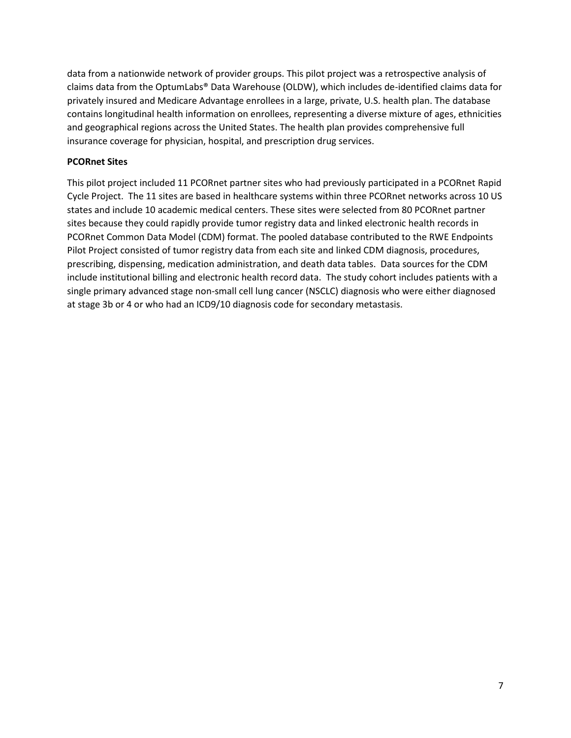data from a nationwide network of provider groups. This pilot project was a retrospective analysis of claims data from the OptumLabs® Data Warehouse (OLDW), which includes de-identified claims data for privately insured and Medicare Advantage enrollees in a large, private, U.S. health plan. The database contains longitudinal health information on enrollees, representing a diverse mixture of ages, ethnicities and geographical regions across the United States. The health plan provides comprehensive full insurance coverage for physician, hospital, and prescription drug services.

#### **PCORnet Sites**

This pilot project included 11 PCORnet partner sites who had previously participated in a PCORnet Rapid Cycle Project. The 11 sites are based in healthcare systems within three PCORnet networks across 10 US states and include 10 academic medical centers. These sites were selected from 80 PCORnet partner sites because they could rapidly provide tumor registry data and linked electronic health records in PCORnet Common Data Model (CDM) format. The pooled database contributed to the RWE Endpoints Pilot Project consisted of tumor registry data from each site and linked CDM diagnosis, procedures, prescribing, dispensing, medication administration, and death data tables. Data sources for the CDM include institutional billing and electronic health record data. The study cohort includes patients with a single primary advanced stage non-small cell lung cancer (NSCLC) diagnosis who were either diagnosed at stage 3b or 4 or who had an ICD9/10 diagnosis code for secondary metastasis.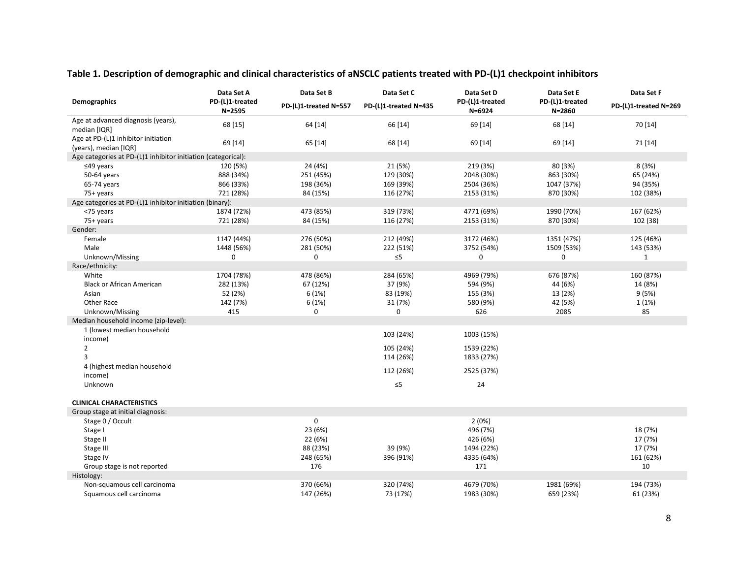|                                                               | Data Set A                    | Data Set B            | Data Set C            | Data Set D                    | Data Set E                    | Data Set F            |
|---------------------------------------------------------------|-------------------------------|-----------------------|-----------------------|-------------------------------|-------------------------------|-----------------------|
| Demographics                                                  | PD-(L)1-treated<br>$N = 2595$ | PD-(L)1-treated N=557 | PD-(L)1-treated N=435 | PD-(L)1-treated<br>$N = 6924$ | PD-(L)1-treated<br>$N = 2860$ | PD-(L)1-treated N=269 |
| Age at advanced diagnosis (years),                            | 68 [15]                       | 64 [14]               | 66 [14]               | 69 [14]                       | 68 [14]                       | 70 [14]               |
| median [IQR]                                                  |                               |                       |                       |                               |                               |                       |
| Age at PD-(L)1 inhibitor initiation                           | 69 [14]                       | 65 [14]               | 68 [14]               | 69 [14]                       | 69 [14]                       | 71 [14]               |
| (years), median [IQR]                                         |                               |                       |                       |                               |                               |                       |
| Age categories at PD-(L)1 inhibitor initiation (categorical): |                               |                       |                       |                               |                               |                       |
| $≤49$ years                                                   | 120 (5%)                      | 24 (4%)               | 21 (5%)               | 219 (3%)                      | 80 (3%)                       | 8(3%)                 |
| 50-64 years                                                   | 888 (34%)                     | 251 (45%)             | 129 (30%)             | 2048 (30%)                    | 863 (30%)                     | 65 (24%)              |
| 65-74 years                                                   | 866 (33%)                     | 198 (36%)             | 169 (39%)             | 2504 (36%)                    | 1047 (37%)                    | 94 (35%)              |
| 75+ years                                                     | 721 (28%)                     | 84 (15%)              | 116 (27%)             | 2153 (31%)                    | 870 (30%)                     | 102 (38%)             |
| Age categories at PD-(L)1 inhibitor initiation (binary):      |                               |                       |                       |                               |                               |                       |
| <75 years                                                     | 1874 (72%)                    | 473 (85%)             | 319 (73%)             | 4771 (69%)                    | 1990 (70%)                    | 167 (62%)             |
| 75+ years                                                     | 721 (28%)                     | 84 (15%)              | 116 (27%)             | 2153 (31%)                    | 870 (30%)                     | 102 (38)              |
| Gender:                                                       |                               |                       |                       |                               |                               |                       |
| Female                                                        | 1147 (44%)                    | 276 (50%)             | 212 (49%)             | 3172 (46%)                    | 1351 (47%)                    | 125 (46%)             |
| Male                                                          | 1448 (56%)                    | 281 (50%)             | 222 (51%)             | 3752 (54%)                    | 1509 (53%)                    | 143 (53%)             |
| Unknown/Missing                                               | 0                             | 0                     | $\leq 5$              | 0                             | 0                             | $\mathbf{1}$          |
| Race/ethnicity:                                               |                               |                       |                       |                               |                               |                       |
| White                                                         | 1704 (78%)                    | 478 (86%)             | 284 (65%)             | 4969 (79%)                    | 676 (87%)                     | 160 (87%)             |
| <b>Black or African American</b>                              | 282 (13%)                     | 67 (12%)              | 37 (9%)               | 594 (9%)                      | 44 (6%)                       | 14 (8%)               |
| Asian                                                         | 52 (2%)                       | 6(1%)                 | 83 (19%)              | 155 (3%)                      | 13 (2%)                       | 9(5%)                 |
| Other Race                                                    | 142 (7%)                      | 6(1%)                 | 31 (7%)               | 580 (9%)                      | 42 (5%)                       | 1(1%)                 |
| Unknown/Missing                                               | 415                           | 0                     | 0                     | 626                           | 2085                          | 85                    |
| Median household income (zip-level):                          |                               |                       |                       |                               |                               |                       |
| 1 (lowest median household                                    |                               |                       | 103 (24%)             | 1003 (15%)                    |                               |                       |
| income)                                                       |                               |                       |                       |                               |                               |                       |
| $\overline{2}$                                                |                               |                       | 105 (24%)             | 1539 (22%)                    |                               |                       |
| 3                                                             |                               |                       | 114 (26%)             | 1833 (27%)                    |                               |                       |
| 4 (highest median household                                   |                               |                       | 112 (26%)             | 2525 (37%)                    |                               |                       |
| income)                                                       |                               |                       |                       |                               |                               |                       |
| Unknown                                                       |                               |                       | $\leq 5$              | 24                            |                               |                       |
| <b>CLINICAL CHARACTERISTICS</b>                               |                               |                       |                       |                               |                               |                       |
| Group stage at initial diagnosis:                             |                               |                       |                       |                               |                               |                       |
| Stage 0 / Occult                                              |                               | 0                     |                       | 2(0%)                         |                               |                       |
| Stage I                                                       |                               | 23 (6%)               |                       | 496 (7%)                      |                               | 18 (7%)               |
| Stage II                                                      |                               | 22 (6%)               |                       | 426 (6%)                      |                               | 17 (7%)               |
| Stage III                                                     |                               | 88 (23%)              | 39 (9%)               | 1494 (22%)                    |                               | 17 (7%)               |
| Stage IV                                                      |                               | 248 (65%)             | 396 (91%)             | 4335 (64%)                    |                               | 161 (62%)             |
| Group stage is not reported                                   |                               | 176                   |                       | 171                           |                               | 10                    |
| Histology:                                                    |                               |                       |                       |                               |                               |                       |
| Non-squamous cell carcinoma                                   |                               | 370 (66%)             | 320 (74%)             | 4679 (70%)                    | 1981 (69%)                    | 194 (73%)             |
| Squamous cell carcinoma                                       |                               | 147 (26%)             | 73 (17%)              | 1983 (30%)                    | 659 (23%)                     | 61 (23%)              |

## **Table 1. Description of demographic and clinical characteristics of aNSCLC patients treated with PD-(L)1 checkpoint inhibitors**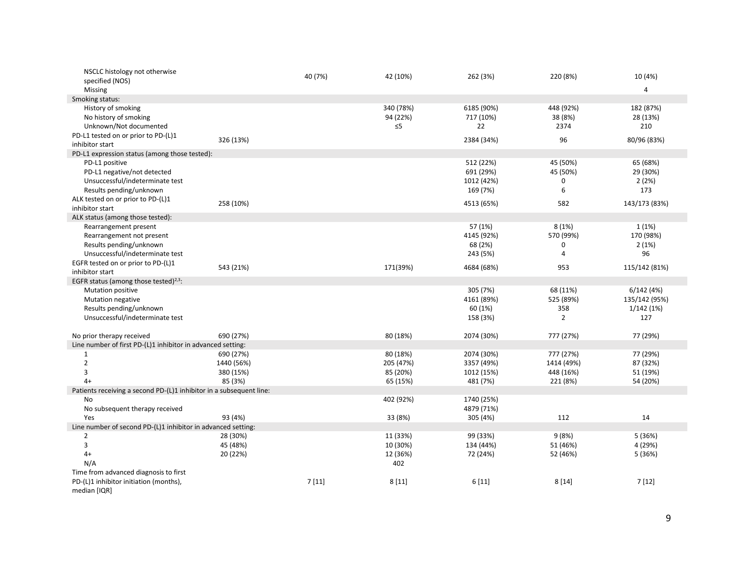| NSCLC histology not otherwise                                       |            | 40 (7%) | 42 (10%)  | 262 (3%)   | 220 (8%)       | 10 (4%)        |
|---------------------------------------------------------------------|------------|---------|-----------|------------|----------------|----------------|
| specified (NOS)                                                     |            |         |           |            |                |                |
| Missing                                                             |            |         |           |            |                | $\overline{4}$ |
| Smoking status:                                                     |            |         |           |            |                |                |
| History of smoking                                                  |            |         | 340 (78%) | 6185 (90%) | 448 (92%)      | 182 (87%)      |
| No history of smoking                                               |            |         | 94 (22%)  | 717 (10%)  | 38 (8%)        | 28 (13%)       |
| Unknown/Not documented                                              |            |         | $\leq 5$  | 22         | 2374           | 210            |
| PD-L1 tested on or prior to PD-(L)1                                 | 326 (13%)  |         |           | 2384 (34%) | 96             | 80/96 (83%)    |
| inhibitor start                                                     |            |         |           |            |                |                |
| PD-L1 expression status (among those tested):                       |            |         |           |            |                |                |
| PD-L1 positive                                                      |            |         |           | 512 (22%)  | 45 (50%)       | 65 (68%)       |
| PD-L1 negative/not detected                                         |            |         |           | 691 (29%)  | 45 (50%)       | 29 (30%)       |
| Unsuccessful/indeterminate test                                     |            |         |           | 1012 (42%) | 0              | 2(2%)          |
| Results pending/unknown                                             |            |         |           | 169 (7%)   | 6              | 173            |
| ALK tested on or prior to PD-(L)1                                   | 258 (10%)  |         |           | 4513 (65%) | 582            | 143/173 (83%)  |
| inhibitor start                                                     |            |         |           |            |                |                |
| ALK status (among those tested):                                    |            |         |           |            |                |                |
| Rearrangement present                                               |            |         |           | 57 (1%)    | 8(1%)          | 1(1%)          |
| Rearrangement not present                                           |            |         |           | 4145 (92%) | 570 (99%)      | 170 (98%)      |
| Results pending/unknown                                             |            |         |           | 68 (2%)    | 0              | 2(1%)          |
| Unsuccessful/indeterminate test                                     |            |         |           | 243 (5%)   | $\overline{4}$ | 96             |
| EGFR tested on or prior to PD-(L)1                                  | 543 (21%)  |         | 171(39%)  | 4684 (68%) | 953            | 115/142 (81%)  |
| inhibitor start                                                     |            |         |           |            |                |                |
| EGFR status (among those tested) <sup>2,3</sup> :                   |            |         |           |            |                |                |
| Mutation positive                                                   |            |         |           | 305 (7%)   | 68 (11%)       | 6/142(4%)      |
| <b>Mutation negative</b>                                            |            |         |           | 4161 (89%) | 525 (89%)      | 135/142 (95%)  |
| Results pending/unknown                                             |            |         |           | 60 (1%)    | 358            | 1/142(1%)      |
| Unsuccessful/indeterminate test                                     |            |         |           | 158 (3%)   | $\overline{2}$ | 127            |
|                                                                     |            |         |           |            |                |                |
| No prior therapy received                                           | 690 (27%)  |         | 80 (18%)  | 2074 (30%) | 777 (27%)      | 77 (29%)       |
| Line number of first PD-(L)1 inhibitor in advanced setting:         |            |         |           |            |                |                |
| 1                                                                   | 690 (27%)  |         | 80 (18%)  | 2074 (30%) | 777 (27%)      | 77 (29%)       |
| $\overline{2}$                                                      | 1440 (56%) |         | 205 (47%) | 3357 (49%) | 1414 (49%)     | 87 (32%)       |
| 3                                                                   | 380 (15%)  |         | 85 (20%)  | 1012 (15%) | 448 (16%)      | 51 (19%)       |
| $4+$                                                                | 85 (3%)    |         | 65 (15%)  | 481 (7%)   | 221 (8%)       | 54 (20%)       |
| Patients receiving a second PD-(L)1 inhibitor in a subsequent line: |            |         |           |            |                |                |
| No                                                                  |            |         | 402 (92%) | 1740 (25%) |                |                |
| No subsequent therapy received<br>Yes                               |            |         |           | 4879 (71%) |                |                |
| Line number of second PD-(L)1 inhibitor in advanced setting:        | 93 (4%)    |         | 33 (8%)   | 305 (4%)   | 112            | 14             |
|                                                                     | 28 (30%)   |         | 11 (33%)  | 99 (33%)   | 9(8%)          | 5 (36%)        |
| $\overline{2}$<br>3                                                 | 45 (48%)   |         | 10 (30%)  | 134 (44%)  | 51 (46%)       | 4 (29%)        |
| $4+$                                                                | 20 (22%)   |         | 12 (36%)  | 72 (24%)   | 52 (46%)       | 5 (36%)        |
| N/A                                                                 |            |         | 402       |            |                |                |
| Time from advanced diagnosis to first                               |            |         |           |            |                |                |
| PD-(L)1 inhibitor initiation (months),                              |            | 7[11]   | 8[11]     | 6[11]      | 8[14]          | 7[12]          |
| median [IQR]                                                        |            |         |           |            |                |                |
|                                                                     |            |         |           |            |                |                |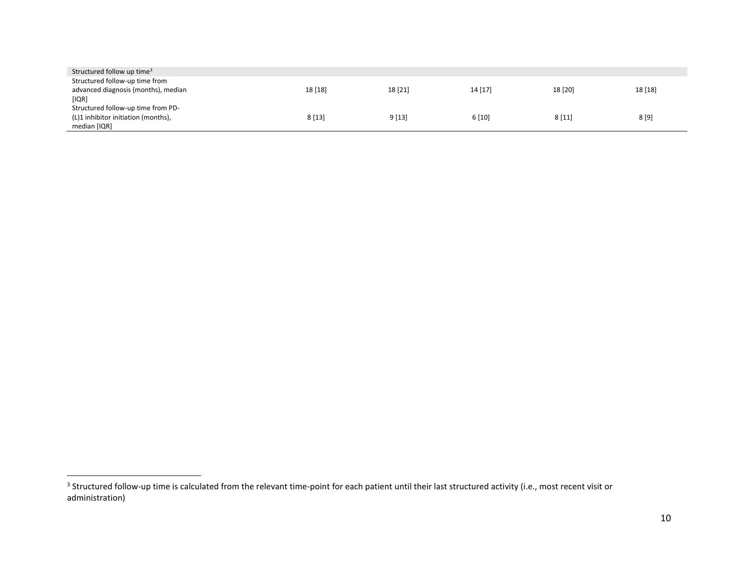| Structured follow up time <sup>3</sup> |         |         |         |         |         |
|----------------------------------------|---------|---------|---------|---------|---------|
| Structured follow-up time from         |         |         |         |         |         |
| advanced diagnosis (months), median    | 18 [18] | 18 [21] | 14 [17] | 18 [20] | 18 [18] |
| [IQR]                                  |         |         |         |         |         |
| Structured follow-up time from PD-     |         |         |         |         |         |
| (L)1 inhibitor initiation (months),    | 8[13]   | 9[13]   | 6 [10]  | 8[11]   | 8 [9]   |
| median [IQR]                           |         |         |         |         |         |

 3 Structured follow-up time is calculated from the relevant time-point for each patient until their last structured activity (i.e., most recent visit or administration)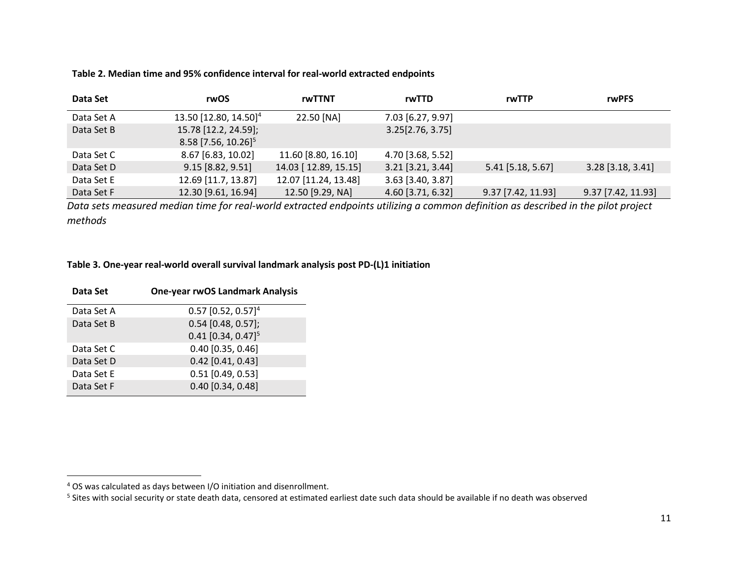#### **Table 2. Median time and 95% confidence interval for real-world extracted endpoints**

| Data Set   | rwOS                                                      | rwTTNT               | rwTTD             | rwTTP              | <b>rwPFS</b>        |
|------------|-----------------------------------------------------------|----------------------|-------------------|--------------------|---------------------|
| Data Set A | 13.50 [12.80, 14.50] <sup>4</sup>                         | 22.50 [NA]           | 7.03 [6.27, 9.97] |                    |                     |
| Data Set B | 15.78 [12.2, 24.59];<br>$8.58$ [7.56, 10.26] <sup>5</sup> |                      | 3.25[2.76, 3.75]  |                    |                     |
| Data Set C | 8.67 [6.83, 10.02]                                        | 11.60 [8.80, 16.10]  | 4.70 [3.68, 5.52] |                    |                     |
| Data Set D | 9.15 [8.82, 9.51]                                         | 14.03 [12.89, 15.15] | 3.21 [3.21, 3.44] | 5.41 [5.18, 5.67]  | $3.28$ [3.18, 3.41] |
| Data Set E | 12.69 [11.7, 13.87]                                       | 12.07 [11.24, 13.48] | 3.63 [3.40, 3.87] |                    |                     |
| Data Set F | 12.30 [9.61, 16.94]                                       | 12.50 [9.29, NA]     | 4.60 [3.71, 6.32] | 9.37 [7.42, 11.93] | 9.37 [7.42, 11.93]  |

*Data sets measured median time for real-world extracted endpoints utilizing a common definition as described in the pilot project methods*

### **Table 3. One-year real-world overall survival landmark analysis post PD-(L)1 initiation**

| Data Set   | <b>One-year rwOS Landmark Analysis</b> |
|------------|----------------------------------------|
| Data Set A | $0.57$ [0.52, 0.57] <sup>4</sup>       |
| Data Set B | $0.54$ [0.48, 0.57];                   |
|            | $0.41$ [0.34, 0.47] <sup>5</sup>       |
| Data Set C | $0.40$ [0.35, 0.46]                    |
| Data Set D | $0.42$ [0.41, 0.43]                    |
| Data Set E | $0.51$ [0.49, 0.53]                    |
| Data Set F | $0.40$ [0.34, 0.48]                    |

 $\overline{\phantom{a}}$ 

 $4$  OS was calculated as days between I/O initiation and disenrollment.

<sup>&</sup>lt;sup>5</sup> Sites with social security or state death data, censored at estimated earliest date such data should be available if no death was observed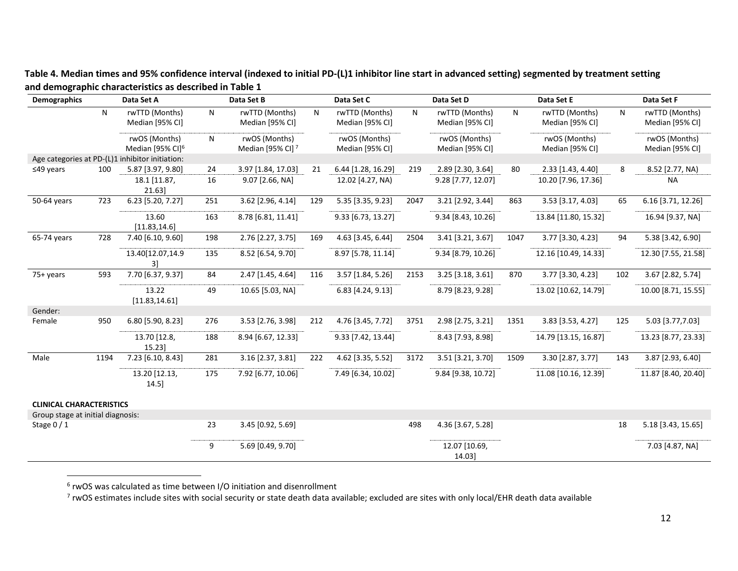**Table 4. Median times and 95% confidence interval (indexed to initial PD-(L)1 inhibitor line start in advanced setting) segmented by treatment setting and demographic characteristics as described in Table 1**

| <b>Demographics</b>               |      | Data Set A                                      |     | Data Set B                         |     | Data Set C                        |      | Data Set D                        |           | Data Set E                        |     | Data Set F                        |
|-----------------------------------|------|-------------------------------------------------|-----|------------------------------------|-----|-----------------------------------|------|-----------------------------------|-----------|-----------------------------------|-----|-----------------------------------|
|                                   | N    | rwTTD (Months)<br>Median [95% CI]               | N   | rwTTD (Months)<br>Median [95% CI]  | N   | rwTTD (Months)<br>Median [95% CI] | N    | rwTTD (Months)<br>Median [95% CI] | ${\sf N}$ | rwTTD (Months)<br>Median [95% CI] | N   | rwTTD (Months)<br>Median [95% CI] |
|                                   |      | rwOS (Months)<br>Median [95% CI] <sup>6</sup>   | N   | rwOS (Months)<br>Median [95% CI] 7 |     | rwOS (Months)<br>Median [95% CI]  |      | rwOS (Months)<br>Median [95% CI]  |           | rwOS (Months)<br>Median [95% CI]  |     | rwOS (Months)<br>Median [95% CI]  |
|                                   |      | Age categories at PD-(L)1 inhibitor initiation: |     |                                    |     |                                   |      |                                   |           |                                   |     |                                   |
| $≤49$ years                       | 100  | 5.87 [3.97, 9.80]                               | 24  | 3.97 [1.84, 17.03]                 | 21  | 6.44 [1.28, 16.29]                | 219  | 2.89 [2.30, 3.64]                 | 80        | 2.33 [1.43, 4.40]                 | 8   | 8.52 [2.77, NA)                   |
|                                   |      | 18.1 [11.87,<br>21.63                           | 16  | 9.07 [2.66, NA]                    |     | 12.02 [4.27, NA)                  |      | 9.28 [7.77, 12.07]                |           | 10.20 [7.96, 17.36]               |     | <b>NA</b>                         |
| 50-64 years                       | 723  | 6.23 [5.20, 7.27]                               | 251 | 3.62 [2.96, 4.14]                  | 129 | 5.35 [3.35, 9.23]                 | 2047 | 3.21 [2.92, 3.44]                 | 863       | 3.53 [3.17, 4.03]                 | 65  | 6.16 [3.71, 12.26]                |
|                                   |      | 13.60<br>[11.83, 14.6]                          | 163 | 8.78 [6.81, 11.41]                 |     | 9.33 [6.73, 13.27]                |      | 9.34 [8.43, 10.26]                |           | 13.84 [11.80, 15.32]              |     | 16.94 [9.37, NA]                  |
| 65-74 years                       | 728  | 7.40 [6.10, 9.60]                               | 198 | 2.76 [2.27, 3.75]                  | 169 | 4.63 [3.45, 6.44]                 | 2504 | 3.41 [3.21, 3.67]                 | 1047      | 3.77 [3.30, 4.23]                 | 94  | 5.38 [3.42, 6.90]                 |
|                                   |      | 13.40 [12.07, 14.9<br>3]                        | 135 | 8.52 [6.54, 9.70]                  |     | 8.97 [5.78, 11.14]                |      | 9.34 [8.79, 10.26]                |           | 12.16 [10.49, 14.33]              |     | 12.30 [7.55, 21.58]               |
| 75+ years                         | 593  | 7.70 [6.37, 9.37]                               | 84  | 2.47 [1.45, 4.64]                  | 116 | 3.57 [1.84, 5.26]                 | 2153 | 3.25 [3.18, 3.61]                 | 870       | 3.77 [3.30, 4.23]                 | 102 | 3.67 [2.82, 5.74]                 |
|                                   |      | 13.22<br>[11.83, 14.61]                         | 49  | 10.65 [5.03, NA]                   |     | 6.83 [4.24, 9.13]                 |      | 8.79 [8.23, 9.28]                 |           | 13.02 [10.62, 14.79]              |     | 10.00 [8.71, 15.55]               |
| Gender:                           |      |                                                 |     |                                    |     |                                   |      |                                   |           |                                   |     |                                   |
| Female                            | 950  | 6.80 [5.90, 8.23]                               | 276 | 3.53 [2.76, 3.98]                  | 212 | 4.76 [3.45, 7.72]                 | 3751 | 2.98 [2.75, 3.21]                 | 1351      | 3.83 [3.53, 4.27]                 | 125 | 5.03 [3.77,7.03]                  |
|                                   |      | 13.70 [12.8,<br>15.23                           | 188 | 8.94 [6.67, 12.33]                 |     | 9.33 [7.42, 13.44]                |      | 8.43 [7.93, 8.98]                 |           | 14.79 [13.15, 16.87]              |     | 13.23 [8.77, 23.33]               |
| Male                              | 1194 | 7.23 [6.10, 8.43]                               | 281 | 3.16 [2.37, 3.81]                  | 222 | 4.62 [3.35, 5.52]                 | 3172 | 3.51 [3.21, 3.70]                 | 1509      | 3.30 [2.87, 3.77]                 | 143 | 3.87 [2.93, 6.40]                 |
|                                   |      | 13.20 [12.13,<br>14.5                           | 175 | 7.92 [6.77, 10.06]                 |     | 7.49 [6.34, 10.02]                |      | 9.84 [9.38, 10.72]                |           | 11.08 [10.16, 12.39]              |     | 11.87 [8.40, 20.40]               |
| <b>CLINICAL CHARACTERISTICS</b>   |      |                                                 |     |                                    |     |                                   |      |                                   |           |                                   |     |                                   |
| Group stage at initial diagnosis: |      |                                                 |     |                                    |     |                                   |      |                                   |           |                                   |     |                                   |
| Stage $0/1$                       |      |                                                 | 23  | 3.45 [0.92, 5.69]                  |     |                                   | 498  | 4.36 [3.67, 5.28]                 |           |                                   | 18  | 5.18 [3.43, 15.65]                |
|                                   |      |                                                 | 9   | 5.69 [0.49, 9.70]                  |     |                                   |      | 12.07 [10.69,<br>14.03            |           |                                   |     | 7.03 [4.87, NA]                   |

 6 rwOS was calculated as time between I/O initiation and disenrollment

 $^7$  rwOS estimates include sites with social security or state death data available; excluded are sites with only local/EHR death data available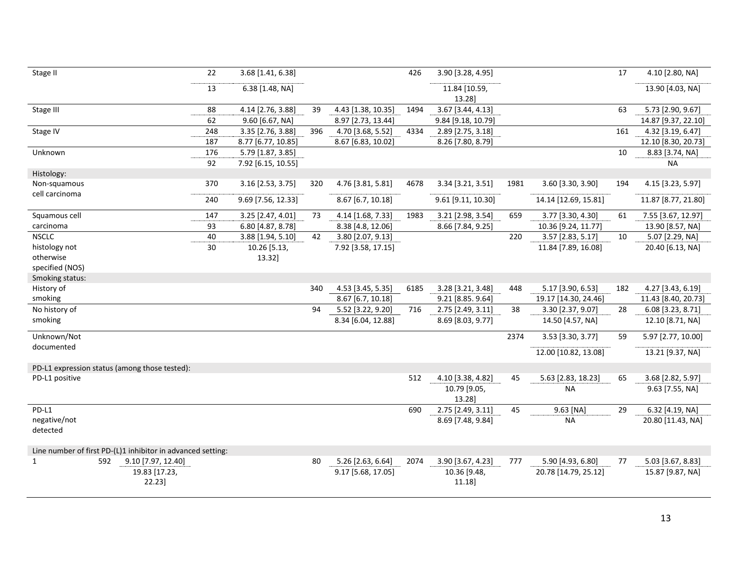| Stage II                                                    | 22  | 3.68 [1.41, 6.38]  |     |                    | 426  | 3.90 [3.28, 4.95]      |      |                      | 17  | 4.10 [2.80, NA]     |
|-------------------------------------------------------------|-----|--------------------|-----|--------------------|------|------------------------|------|----------------------|-----|---------------------|
|                                                             | 13  | 6.38 [1.48, NA]    |     |                    |      | 11.84 [10.59,          |      |                      |     | 13.90 [4.03, NA]    |
|                                                             |     |                    |     |                    |      | 13.28]                 |      |                      |     |                     |
| Stage III                                                   | 88  | 4.14 [2.76, 3.88]  | 39  | 4.43 [1.38, 10.35] | 1494 | 3.67 [3.44, 4.13]      |      |                      | 63  | 5.73 [2.90, 9.67]   |
|                                                             | 62  | 9.60 [6.67, NA]    |     | 8.97 [2.73, 13.44] |      | 9.84 [9.18, 10.79]     |      |                      |     | 14.87 [9.37, 22.10] |
| Stage IV                                                    | 248 | 3.35 [2.76, 3.88]  | 396 | 4.70 [3.68, 5.52]  | 4334 | 2.89 [2.75, 3.18]      |      |                      | 161 | 4.32 [3.19, 6.47]   |
|                                                             | 187 | 8.77 [6.77, 10.85] |     | 8.67 [6.83, 10.02] |      | 8.26 [7.80, 8.79]      |      |                      |     | 12.10 [8.30, 20.73] |
| Unknown                                                     | 176 | 5.79 [1.87, 3.85]  |     |                    |      |                        |      |                      | 10  | 8.83 [3.74, NA]     |
|                                                             | 92  | 7.92 [6.15, 10.55] |     |                    |      |                        |      |                      |     | <b>NA</b>           |
| Histology:                                                  |     |                    |     |                    |      |                        |      |                      |     |                     |
| Non-squamous<br>cell carcinoma                              | 370 | 3.16 [2.53, 3.75]  | 320 | 4.76 [3.81, 5.81]  | 4678 | 3.34 [3.21, 3.51]      | 1981 | 3.60 [3.30, 3.90]    | 194 | 4.15 [3.23, 5.97]   |
|                                                             | 240 | 9.69 [7.56, 12.33] |     | 8.67 [6.7, 10.18]  |      | 9.61 [9.11, 10.30]     |      | 14.14 [12.69, 15.81] |     | 11.87 [8.77, 21.80] |
| Squamous cell                                               | 147 | 3.25 [2.47, 4.01]  | 73  | 4.14 [1.68, 7.33]  | 1983 | 3.21 [2.98, 3.54]      | 659  | 3.77 [3.30, 4.30]    | 61  | 7.55 [3.67, 12.97]  |
| carcinoma                                                   | 93  | 6.80 [4.87, 8.78]  |     | 8.38 [4.8, 12.06]  |      | 8.66 [7.84, 9.25]      |      | 10.36 [9.24, 11.77]  |     | 13.90 [8.57, NA]    |
| <b>NSCLC</b>                                                | 40  | 3.88 [1.94, 5.10]  | 42  | 3.80 [2.07, 9.13]  |      |                        | 220  | 3.57 [2.83, 5.17]    | 10  | 5.07 [2.29, NA]     |
| histology not                                               | 30  | 10.26 [5.13,       |     | 7.92 [3.58, 17.15] |      |                        |      | 11.84 [7.89, 16.08]  |     | 20.40 [6.13, NA]    |
| otherwise                                                   |     | 13.32]             |     |                    |      |                        |      |                      |     |                     |
| specified (NOS)                                             |     |                    |     |                    |      |                        |      |                      |     |                     |
| Smoking status:                                             |     |                    |     |                    |      |                        |      |                      |     |                     |
| History of                                                  |     |                    | 340 | 4.53 [3.45, 5.35]  | 6185 | 3.28 [3.21, 3.48]      | 448  | 5.17 [3.90, 6.53]    | 182 | 4.27 [3.43, 6.19]   |
| smoking                                                     |     |                    |     | 8.67 [6.7, 10.18]  |      | 9.21 [8.85. 9.64]      |      | 19.17 [14.30, 24.46] |     | 11.43 [8.40, 20.73] |
| No history of                                               |     |                    | 94  | 5.52 [3.22, 9.20]  | 716  | 2.75 [2.49, 3.11]      | 38   | 3.30 [2.37, 9.07]    | 28  | 6.08 [3.23, 8.71]   |
| smoking                                                     |     |                    |     | 8.34 [6.04, 12.88] |      | 8.69 [8.03, 9.77]      |      | 14.50 [4.57, NA]     |     | 12.10 [8.71, NA]    |
| Unknown/Not                                                 |     |                    |     |                    |      |                        | 2374 | 3.53 [3.30, 3.77]    | 59  | 5.97 [2.77, 10.00]  |
| documented                                                  |     |                    |     |                    |      |                        |      | 12.00 [10.82, 13.08] |     | 13.21 [9.37, NA]    |
|                                                             |     |                    |     |                    |      |                        |      |                      |     |                     |
| PD-L1 expression status (among those tested):               |     |                    |     |                    |      |                        |      |                      |     |                     |
| PD-L1 positive                                              |     |                    |     |                    | 512  | 4.10 [3.38, 4.82]      | 45   | 5.63 [2.83, 18.23]   | 65  | 3.68 [2.82, 5.97]   |
|                                                             |     |                    |     |                    |      | 10.79 [9.05,<br>13.28] |      | <b>NA</b>            |     | 9.63 [7.55, NA]     |
| PD-L1                                                       |     |                    |     |                    | 690  | 2.75 [2.49, 3.11]      | 45   | 9.63 [NA]            | 29  | 6.32 [4.19, NA]     |
| negative/not                                                |     |                    |     |                    |      | 8.69 [7.48, 9.84]      |      | <b>NA</b>            |     | 20.80 [11.43, NA]   |
| detected                                                    |     |                    |     |                    |      |                        |      |                      |     |                     |
|                                                             |     |                    |     |                    |      |                        |      |                      |     |                     |
| Line number of first PD-(L)1 inhibitor in advanced setting: |     |                    |     |                    |      |                        |      |                      |     |                     |
| $\mathbf{1}$<br>592<br>9.10 [7.97, 12.40]                   |     |                    | 80  | 5.26 [2.63, 6.64]  | 2074 | 3.90 [3.67, 4.23]      | 777  | 5.90 [4.93, 6.80]    | 77  | 5.03 [3.67, 8.83]   |
| 19.83 [17.23,                                               |     |                    |     | 9.17 [5.68, 17.05] |      | 10.36 [9.48,           |      | 20.78 [14.79, 25.12] |     | 15.87 [9.87, NA]    |
| 22.23]                                                      |     |                    |     |                    |      | 11.18]                 |      |                      |     |                     |
|                                                             |     |                    |     |                    |      |                        |      |                      |     |                     |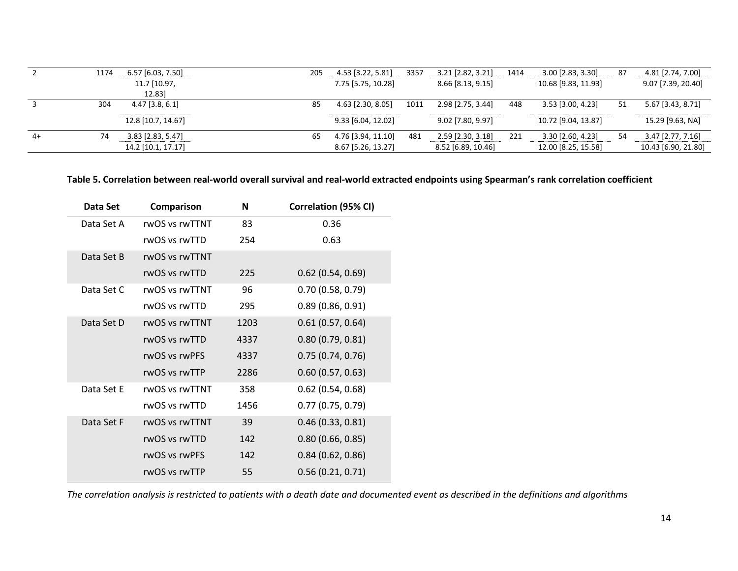|      | 1174 | 6.57 [6.03, 7.50]     | 205 | 4.53 [3.22, 5.81]    | 3357 | 3.21 [2.82, 3.21]  | 1414 | $3.00$ [2.83, 3.30] | 87 | 4.81 [2.74, 7.00]   |
|------|------|-----------------------|-----|----------------------|------|--------------------|------|---------------------|----|---------------------|
|      |      | 11.7 [10.97,<br>12.83 |     | 7.75 [5.75, 10.28]   |      | 8.66 [8.13, 9.15]  |      | 10.68 [9.83, 11.93] |    | 9.07 [7.39, 20.40]  |
|      | 304  | $4.47$ [3.8, 6.1]     | 85  | 4.63 [2.30, 8.05]    | 1011 | 2.98 [2.75, 3.44]  | 448  | 3.53 [3.00, 4.23]   | 51 | 5.67 [3.43, 8.71]   |
|      |      | 12.8 [10.7, 14.67]    |     | $9.33$ [6.04, 12.02] |      | 9.02 [7.80, 9.97]  |      | 10.72 [9.04, 13.87] |    | 15.29 [9.63, NA]    |
| $4+$ | 74   | 3.83 [2.83, 5.47]     | 65  | 4.76 [3.94, 11.10]   | 481  | 2.59 [2.30, 3.18]  | 221  | $3.30$ [2.60, 4.23] | 54 | $3.47$ [2.77, 7.16] |
|      |      | 14.2 [10.1, 17.17]    |     | 8.67 [5.26, 13.27]   |      | 8.52 [6.89, 10.46] |      | 12.00 [8.25, 15.58] |    | 10.43 [6.90, 21.80] |

### **Table 5. Correlation between real-world overall survival and real-world extracted endpoints using Spearman's rank correlation coefficient**

| Data Set   | Comparison     | N    | Correlation (95% CI) |
|------------|----------------|------|----------------------|
| Data Set A | rwOS vs rwTTNT | 83   | 0.36                 |
|            | rwOS vs rwTTD  | 254  | 0.63                 |
| Data Set B | rwOS vs rwTTNT |      |                      |
|            | rwOS vs rwTTD  | 225  | $0.62$ (0.54, 0.69)  |
| Data Set C | rwOS vs rwTTNT | 96   | 0.70(0.58, 0.79)     |
|            | rwOS vs rwTTD  | 295  | 0.89(0.86, 0.91)     |
| Data Set D | rwOS vs rwTTNT | 1203 | 0.61(0.57, 0.64)     |
|            | rwOS vs rwTTD  | 4337 | 0.80(0.79, 0.81)     |
|            | rwOS vs rwPFS  | 4337 | 0.75(0.74, 0.76)     |
|            | rwOS vs rwTTP  | 2286 | 0.60(0.57, 0.63)     |
| Data Set E | rwOS vs rwTTNT | 358  | $0.62$ (0.54, 0.68)  |
|            | rwOS vs rwTTD  | 1456 | 0.77(0.75, 0.79)     |
| Data Set F | rwOS vs rwTTNT | 39   | 0.46(0.33, 0.81)     |
|            | rwOS vs rwTTD  | 142  | 0.80(0.66, 0.85)     |
|            | rwOS vs rwPFS  | 142  | 0.84(0.62, 0.86)     |
|            | rwOS vs rwTTP  | 55   | 0.56(0.21, 0.71)     |
|            |                |      |                      |

*The correlation analysis is restricted to patients with a death date and documented event as described in the definitions and algorithms*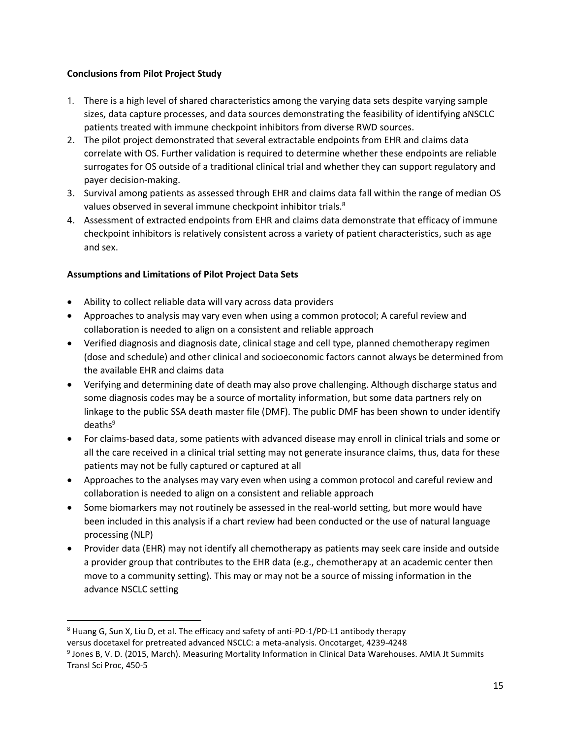### **Conclusions from Pilot Project Study**

- 1. There is a high level of shared characteristics among the varying data sets despite varying sample sizes, data capture processes, and data sources demonstrating the feasibility of identifying aNSCLC patients treated with immune checkpoint inhibitors from diverse RWD sources.
- 2. The pilot project demonstrated that several extractable endpoints from EHR and claims data correlate with OS. Further validation is required to determine whether these endpoints are reliable surrogates for OS outside of a traditional clinical trial and whether they can support regulatory and payer decision-making.
- 3. Survival among patients as assessed through EHR and claims data fall within the range of median OS values observed in several immune checkpoint inhibitor trials.<sup>8</sup>
- 4. Assessment of extracted endpoints from EHR and claims data demonstrate that efficacy of immune checkpoint inhibitors is relatively consistent across a variety of patient characteristics, such as age and sex.

### **Assumptions and Limitations of Pilot Project Data Sets**

- Ability to collect reliable data will vary across data providers
- Approaches to analysis may vary even when using a common protocol; A careful review and collaboration is needed to align on a consistent and reliable approach
- Verified diagnosis and diagnosis date, clinical stage and cell type, planned chemotherapy regimen (dose and schedule) and other clinical and socioeconomic factors cannot always be determined from the available EHR and claims data
- Verifying and determining date of death may also prove challenging. Although discharge status and some diagnosis codes may be a source of mortality information, but some data partners rely on linkage to the public SSA death master file (DMF). The public DMF has been shown to under identify  $deaths<sup>9</sup>$
- For claims-based data, some patients with advanced disease may enroll in clinical trials and some or all the care received in a clinical trial setting may not generate insurance claims, thus, data for these patients may not be fully captured or captured at all
- Approaches to the analyses may vary even when using a common protocol and careful review and collaboration is needed to align on a consistent and reliable approach
- Some biomarkers may not routinely be assessed in the real-world setting, but more would have been included in this analysis if a chart review had been conducted or the use of natural language processing (NLP)
- Provider data (EHR) may not identify all chemotherapy as patients may seek care inside and outside a provider group that contributes to the EHR data (e.g., chemotherapy at an academic center then move to a community setting). This may or may not be a source of missing information in the advance NSCLC setting

l

<sup>8</sup> Huang G, Sun X, Liu D, et al. The efficacy and safety of anti-PD-1/PD-L1 antibody therapy versus docetaxel for pretreated advanced NSCLC: a meta-analysis. Oncotarget, 4239-4248

<sup>9</sup> Jones B, V. D. (2015, March). Measuring Mortality Information in Clinical Data Warehouses. AMIA Jt Summits Transl Sci Proc, 450-5